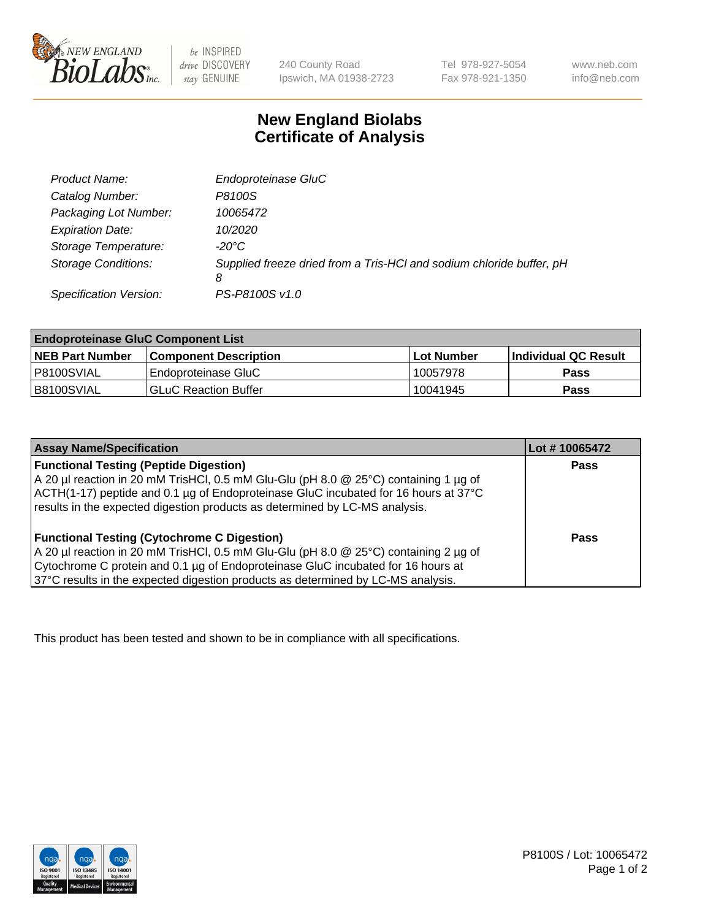

 $be$  INSPIRED drive DISCOVERY stay GENUINE

240 County Road Ipswich, MA 01938-2723 Tel 978-927-5054 Fax 978-921-1350 www.neb.com info@neb.com

## **New England Biolabs Certificate of Analysis**

| Product Name:              | Endoproteinase GluC                                                       |
|----------------------------|---------------------------------------------------------------------------|
| Catalog Number:            | P8100S                                                                    |
| Packaging Lot Number:      | 10065472                                                                  |
| <b>Expiration Date:</b>    | 10/2020                                                                   |
| Storage Temperature:       | $-20^{\circ}$ C                                                           |
| <b>Storage Conditions:</b> | Supplied freeze dried from a Tris-HCI and sodium chloride buffer, pH<br>8 |
| Specification Version:     | PS-P8100S v1.0                                                            |

| <b>Endoproteinase GluC Component List</b> |                              |             |                             |  |
|-------------------------------------------|------------------------------|-------------|-----------------------------|--|
| <b>NEB Part Number</b>                    | <b>Component Description</b> | ∣Lot Number | <b>Individual QC Result</b> |  |
| I P8100SVIAL                              | Endoproteinase GluC          | 10057978    | <b>Pass</b>                 |  |
| IB8100SVIAL                               | <b>GLuC Reaction Buffer</b>  | 10041945    | Pass                        |  |

| <b>Assay Name/Specification</b>                                                          | Lot #10065472 |
|------------------------------------------------------------------------------------------|---------------|
| <b>Functional Testing (Peptide Digestion)</b>                                            | <b>Pass</b>   |
| A 20 µl reaction in 20 mM TrisHCl, 0.5 mM Glu-Glu (pH 8.0 @ 25°C) containing 1 µg of     |               |
| ACTH(1-17) peptide and 0.1 µg of Endoproteinase GluC incubated for 16 hours at 37°C      |               |
| results in the expected digestion products as determined by LC-MS analysis.              |               |
|                                                                                          |               |
| <b>Functional Testing (Cytochrome C Digestion)</b>                                       | Pass          |
| $A$ 20 µl reaction in 20 mM TrisHCl, 0.5 mM Glu-Glu (pH 8.0 $@$ 25°C) containing 2 µg of |               |
| Cytochrome C protein and 0.1 µg of Endoproteinase GluC incubated for 16 hours at         |               |
| 37°C results in the expected digestion products as determined by LC-MS analysis.         |               |

This product has been tested and shown to be in compliance with all specifications.